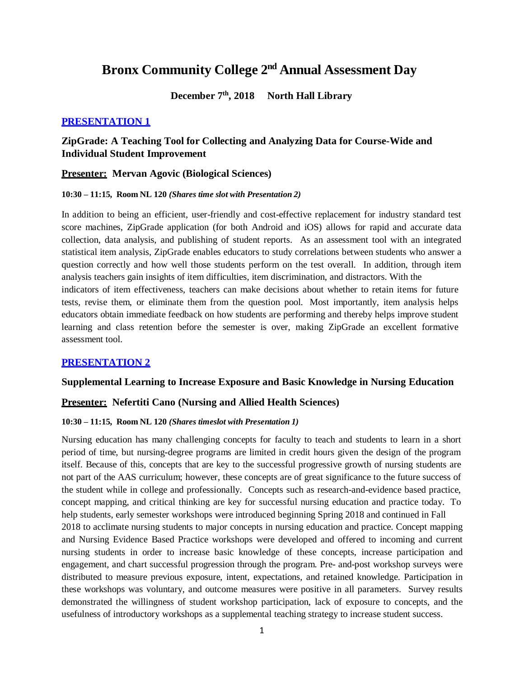# **Bronx Community College 2 nd Annual Assessment Day**

### **December 7 th, 2018 North Hall Library**

#### **PRESENTATION 1**

# **ZipGrade: A Teaching Tool for Collecting and Analyzing Data for Course-Wide and Individual Student Improvement**

### **Presenter: Mervan Agovic (Biological Sciences)**

#### **10:30 – 11:15, Room NL 120** *(Shares time slot with Presentation 2)*

In addition to being an efficient, user-friendly and cost-effective replacement for industry standard test score machines, ZipGrade application (for both Android and iOS) allows for rapid and accurate data collection, data analysis, and publishing of student reports. As an assessment tool with an integrated statistical item analysis, ZipGrade enables educators to study correlations between students who answer a question correctly and how well those students perform on the test overall. In addition, through item analysis teachers gain insights of item difficulties, item discrimination, and distractors. With the indicators of item effectiveness, teachers can make decisions about whether to retain items for future tests, revise them, or eliminate them from the question pool. Most importantly, item analysis helps educators obtain immediate feedback on how students are performing and thereby helps improve student learning and class retention before the semester is over, making ZipGrade an excellent formative assessment tool.

### **PRESENTATION 2**

#### **Supplemental Learning to Increase Exposure and Basic Knowledge in Nursing Education**

#### **Presenter: Nefertiti Cano (Nursing and Allied Health Sciences)**

#### **10:30 – 11:15, Room NL 120** *(Shares timeslot with Presentation 1)*

Nursing education has many challenging concepts for faculty to teach and students to learn in a short period of time, but nursing-degree programs are limited in credit hours given the design of the program itself. Because of this, concepts that are key to the successful progressive growth of nursing students are not part of the AAS curriculum; however, these concepts are of great significance to the future success of the student while in college and professionally. Concepts such as research-and-evidence based practice, concept mapping, and critical thinking are key for successful nursing education and practice today. To help students, early semester workshops were introduced beginning Spring 2018 and continued in Fall 2018 to acclimate nursing students to major concepts in nursing education and practice. Concept mapping and Nursing Evidence Based Practice workshops were developed and offered to incoming and current nursing students in order to increase basic knowledge of these concepts, increase participation and engagement, and chart successful progression through the program. Pre- and-post workshop surveys were distributed to measure previous exposure, intent, expectations, and retained knowledge. Participation in these workshops was voluntary, and outcome measures were positive in all parameters. Survey results demonstrated the willingness of student workshop participation, lack of exposure to concepts, and the usefulness of introductory workshops as a supplemental teaching strategy to increase student success.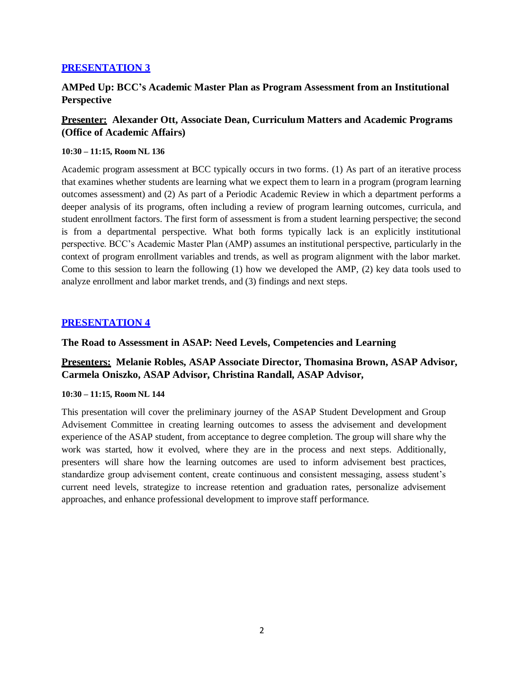# **AMPed Up: BCC's Academic Master Plan as Program Assessment from an Institutional Perspective**

# **Presenter: Alexander Ott, Associate Dean, Curriculum Matters and Academic Programs (Office of Academic Affairs)**

#### **10:30 – 11:15, Room NL 136**

Academic program assessment at BCC typically occurs in two forms. (1) As part of an iterative process that examines whether students are learning what we expect them to learn in a program (program learning outcomes assessment) and (2) As part of a Periodic Academic Review in which a department performs a deeper analysis of its programs, often including a review of program learning outcomes, curricula, and student enrollment factors. The first form of assessment is from a student learning perspective; the second is from a departmental perspective. What both forms typically lack is an explicitly institutional perspective. BCC's Academic Master Plan (AMP) assumes an institutional perspective, particularly in the context of program enrollment variables and trends, as well as program alignment with the labor market. Come to this session to learn the following (1) how we developed the AMP, (2) key data tools used to analyze enrollment and labor market trends, and (3) findings and next steps.

#### **PRESENTATION 4**

**The Road to Assessment in ASAP: Need Levels, Competencies and Learning**

# **Presenters: Melanie Robles, ASAP Associate Director, Thomasina Brown, ASAP Advisor, Carmela Oniszko, ASAP Advisor, Christina Randall, ASAP Advisor,**

#### **10:30 – 11:15, Room NL 144**

This presentation will cover the preliminary journey of the ASAP Student Development and Group Advisement Committee in creating learning outcomes to assess the advisement and development experience of the ASAP student, from acceptance to degree completion. The group will share why the work was started, how it evolved, where they are in the process and next steps. Additionally, presenters will share how the learning outcomes are used to inform advisement best practices, standardize group advisement content, create continuous and consistent messaging, assess student's current need levels, strategize to increase retention and graduation rates, personalize advisement approaches, and enhance professional development to improve staff performance.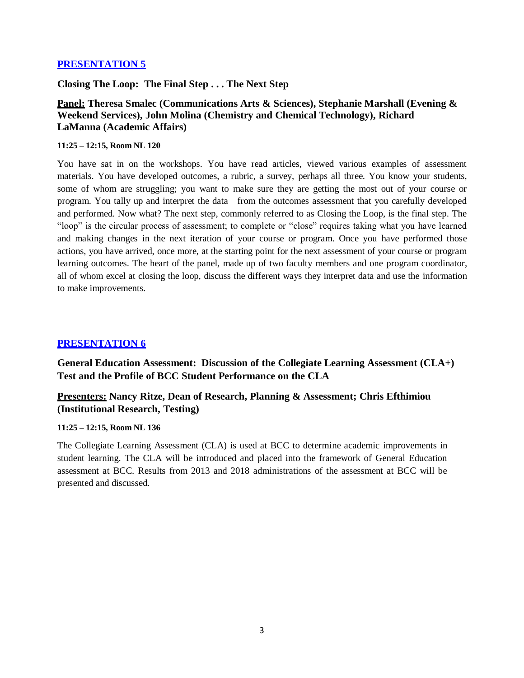**Closing The Loop: The Final Step . . . The Next Step**

# **Panel: Theresa Smalec (Communications Arts & Sciences), Stephanie Marshall (Evening & Weekend Services), John Molina (Chemistry and Chemical Technology), Richard LaManna (Academic Affairs)**

#### **11:25 – 12:15, Room NL 120**

You have sat in on the workshops. You have read articles, viewed various examples of assessment materials. You have developed outcomes, a rubric, a survey, perhaps all three. You know your students, some of whom are struggling; you want to make sure they are getting the most out of your course or program. You tally up and interpret the data from the outcomes assessment that you carefully developed and performed. Now what? The next step, commonly referred to as Closing the Loop, is the final step. The "loop" is the circular process of assessment; to complete or "close" requires taking what you have learned and making changes in the next iteration of your course or program. Once you have performed those actions, you have arrived, once more, at the starting point for the next assessment of your course or program learning outcomes. The heart of the panel, made up of two faculty members and one program coordinator, all of whom excel at closing the loop, discuss the different ways they interpret data and use the information to make improvements.

### **PRESENTATION 6**

**General Education Assessment: Discussion of the Collegiate Learning Assessment (CLA+) Test and the Profile of BCC Student Performance on the CLA**

# **Presenters: Nancy Ritze, Dean of Research, Planning & Assessment; Chris Efthimiou (Institutional Research, Testing)**

#### **11:25 – 12:15, Room NL 136**

The Collegiate Learning Assessment (CLA) is used at BCC to determine academic improvements in student learning. The CLA will be introduced and placed into the framework of General Education assessment at BCC. Results from 2013 and 2018 administrations of the assessment at BCC will be presented and discussed.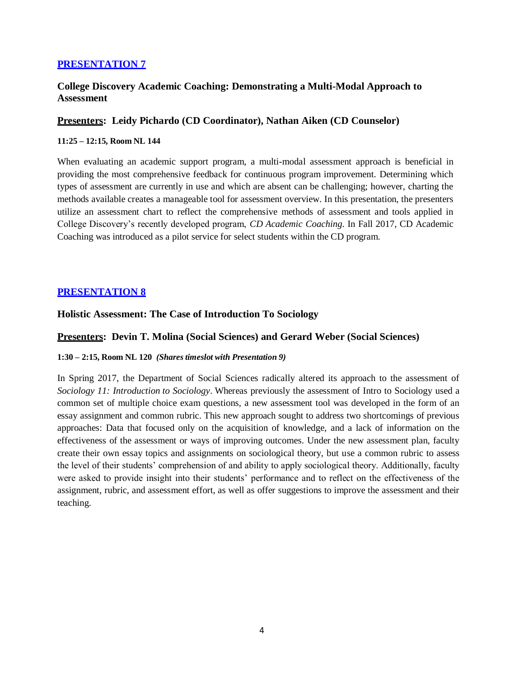### **College Discovery Academic Coaching: Demonstrating a Multi-Modal Approach to Assessment**

### **Presenters: Leidy Pichardo (CD Coordinator), Nathan Aiken (CD Counselor)**

#### **11:25 – 12:15, Room NL 144**

When evaluating an academic support program, a multi-modal assessment approach is beneficial in providing the most comprehensive feedback for continuous program improvement. Determining which types of assessment are currently in use and which are absent can be challenging; however, charting the methods available creates a manageable tool for assessment overview. In this presentation, the presenters utilize an assessment chart to reflect the comprehensive methods of assessment and tools applied in College Discovery's recently developed program, *CD Academic Coaching*. In Fall 2017, CD Academic Coaching was introduced as a pilot service for select students within the CD program.

### **PRESENTATION 8**

#### **Holistic Assessment: The Case of Introduction To Sociology**

#### **Presenters: Devin T. Molina (Social Sciences) and Gerard Weber (Social Sciences)**

#### **1:30 – 2:15, Room NL 120** *(Shares timeslot with Presentation 9)*

In Spring 2017, the Department of Social Sciences radically altered its approach to the assessment of *Sociology 11: Introduction to Sociology*. Whereas previously the assessment of Intro to Sociology used a common set of multiple choice exam questions, a new assessment tool was developed in the form of an essay assignment and common rubric. This new approach sought to address two shortcomings of previous approaches: Data that focused only on the acquisition of knowledge, and a lack of information on the effectiveness of the assessment or ways of improving outcomes. Under the new assessment plan, faculty create their own essay topics and assignments on sociological theory, but use a common rubric to assess the level of their students' comprehension of and ability to apply sociological theory. Additionally, faculty were asked to provide insight into their students' performance and to reflect on the effectiveness of the assignment, rubric, and assessment effort, as well as offer suggestions to improve the assessment and their teaching.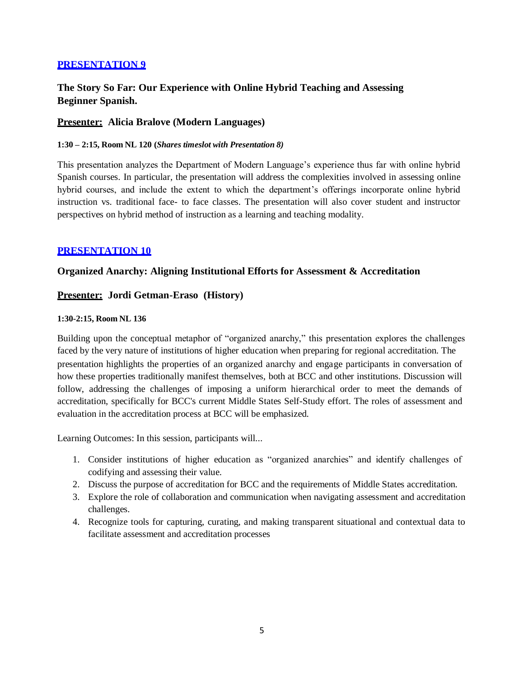# **The Story So Far: Our Experience with Online Hybrid Teaching and Assessing Beginner Spanish.**

### **Presenter: Alicia Bralove (Modern Languages)**

#### **1:30 – 2:15, Room NL 120 (***Shares timeslot with Presentation 8)*

This presentation analyzes the Department of Modern Language's experience thus far with online hybrid Spanish courses. In particular, the presentation will address the complexities involved in assessing online hybrid courses, and include the extent to which the department's offerings incorporate online hybrid instruction vs. traditional face- to face classes. The presentation will also cover student and instructor perspectives on hybrid method of instruction as a learning and teaching modality.

### **PRESENTATION 10**

### **Organized Anarchy: Aligning Institutional Efforts for Assessment & Accreditation**

### **Presenter: Jordi Getman-Eraso (History)**

#### **1:30-2:15, Room NL 136**

Building upon the conceptual metaphor of "organized anarchy," this presentation explores the challenges faced by the very nature of institutions of higher education when preparing for regional accreditation. The presentation highlights the properties of an organized anarchy and engage participants in conversation of how these properties traditionally manifest themselves, both at BCC and other institutions. Discussion will follow, addressing the challenges of imposing a uniform hierarchical order to meet the demands of accreditation, specifically for BCC's current Middle States Self-Study effort. The roles of assessment and evaluation in the accreditation process at BCC will be emphasized.

Learning Outcomes: In this session, participants will...

- 1. Consider institutions of higher education as "organized anarchies" and identify challenges of codifying and assessing their value.
- 2. Discuss the purpose of accreditation for BCC and the requirements of Middle States accreditation.
- 3. Explore the role of collaboration and communication when navigating assessment and accreditation challenges.
- 4. Recognize tools for capturing, curating, and making transparent situational and contextual data to facilitate assessment and accreditation processes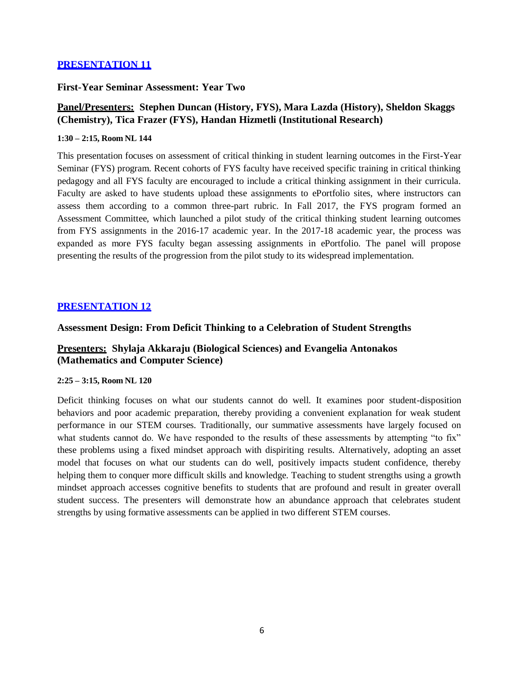#### **First-Year Seminar Assessment: Year Two**

# **Panel/Presenters: Stephen Duncan (History, FYS), Mara Lazda (History), Sheldon Skaggs (Chemistry), Tica Frazer (FYS), Handan Hizmetli (Institutional Research)**

#### **1:30 – 2:15, Room NL 144**

This presentation focuses on assessment of critical thinking in student learning outcomes in the First-Year Seminar (FYS) program. Recent cohorts of FYS faculty have received specific training in critical thinking pedagogy and all FYS faculty are encouraged to include a critical thinking assignment in their curricula. Faculty are asked to have students upload these assignments to ePortfolio sites, where instructors can assess them according to a common three-part rubric. In Fall 2017, the FYS program formed an Assessment Committee, which launched a pilot study of the critical thinking student learning outcomes from FYS assignments in the 2016-17 academic year. In the 2017-18 academic year, the process was expanded as more FYS faculty began assessing assignments in ePortfolio. The panel will propose presenting the results of the progression from the pilot study to its widespread implementation.

### **PRESENTATION 12**

### **Assessment Design: From Deficit Thinking to a Celebration of Student Strengths**

# **Presenters: Shylaja Akkaraju (Biological Sciences) and Evangelia Antonakos (Mathematics and Computer Science)**

#### **2:25 – 3:15, Room NL 120**

Deficit thinking focuses on what our students cannot do well. It examines poor student-disposition behaviors and poor academic preparation, thereby providing a convenient explanation for weak student performance in our STEM courses. Traditionally, our summative assessments have largely focused on what students cannot do. We have responded to the results of these assessments by attempting "to fix" these problems using a fixed mindset approach with dispiriting results. Alternatively, adopting an asset model that focuses on what our students can do well, positively impacts student confidence, thereby helping them to conquer more difficult skills and knowledge. Teaching to student strengths using a growth mindset approach accesses cognitive benefits to students that are profound and result in greater overall student success. The presenters will demonstrate how an abundance approach that celebrates student strengths by using formative assessments can be applied in two different STEM courses.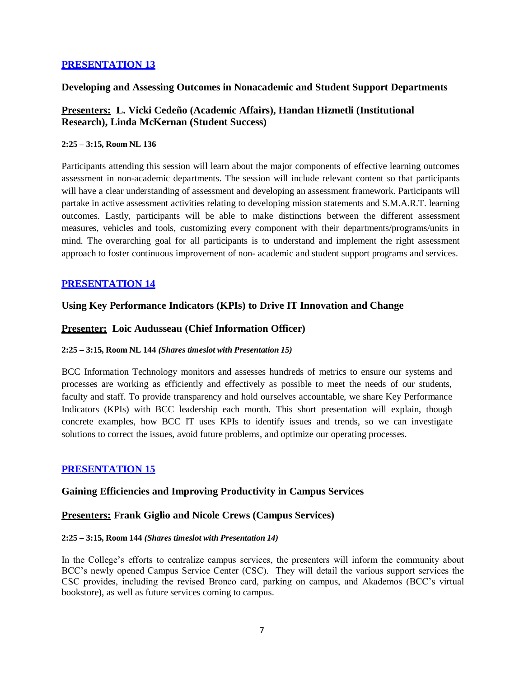### **Developing and Assessing Outcomes in Nonacademic and Student Support Departments**

### **Presenters: L. Vicki Cedeño (Academic Affairs), Handan Hizmetli (Institutional Research), Linda McKernan (Student Success)**

#### **2:25 – 3:15, Room NL 136**

Participants attending this session will learn about the major components of effective learning outcomes assessment in non-academic departments. The session will include relevant content so that participants will have a clear understanding of assessment and developing an assessment framework. Participants will partake in active assessment activities relating to developing mission statements and S.M.A.R.T. learning outcomes. Lastly, participants will be able to make distinctions between the different assessment measures, vehicles and tools, customizing every component with their departments/programs/units in mind. The overarching goal for all participants is to understand and implement the right assessment approach to foster continuous improvement of non- academic and student support programs and services.

### **PRESENTATION 14**

### **Using Key Performance Indicators (KPIs) to Drive IT Innovation and Change**

#### **Presenter: Loic Audusseau (Chief Information Officer)**

#### **2:25 – 3:15, Room NL 144** *(Shares timeslot with Presentation 15)*

BCC Information Technology monitors and assesses hundreds of metrics to ensure our systems and processes are working as efficiently and effectively as possible to meet the needs of our students, faculty and staff. To provide transparency and hold ourselves accountable, we share Key Performance Indicators (KPIs) with BCC leadership each month. This short presentation will explain, though concrete examples, how BCC IT uses KPIs to identify issues and trends, so we can investigate solutions to correct the issues, avoid future problems, and optimize our operating processes.

### **PRESENTATION 15**

#### **Gaining Efficiencies and Improving Productivity in Campus Services**

#### **Presenters: Frank Giglio and Nicole Crews (Campus Services)**

#### **2:25 – 3:15, Room 144** *(Shares timeslot with Presentation 14)*

In the College's efforts to centralize campus services, the presenters will inform the community about BCC's newly opened Campus Service Center (CSC). They will detail the various support services the CSC provides, including the revised Bronco card, parking on campus, and Akademos (BCC's virtual bookstore), as well as future services coming to campus.